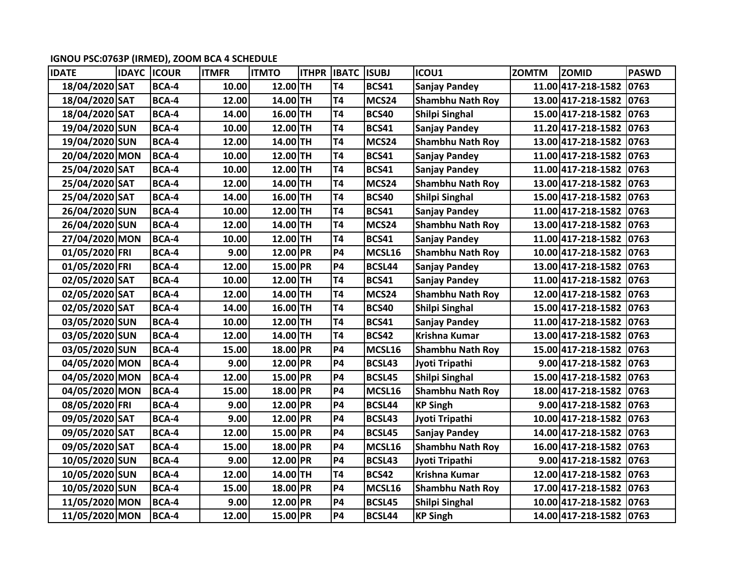**IGNOU PSC:0763P (IRMED), ZOOM BCA 4 SCHEDULE** 

| <b>IDATE</b>   | <b>IDAYC</b> | <b>ICOUR</b> | <b>ITMFR</b> | <b>ITMTO</b> | <b>ITHPR</b> | <b>IBATC</b>   | <b>ISUBJ</b> | ICOU1                   | <b>ZOMTM</b> | <b>ZOMID</b>            | <b>PASWD</b>   |
|----------------|--------------|--------------|--------------|--------------|--------------|----------------|--------------|-------------------------|--------------|-------------------------|----------------|
| 18/04/2020 SAT |              | BCA-4        | 10.00        | 12.00 TH     |              | T <sub>4</sub> | <b>BCS41</b> | <b>Sanjay Pandey</b>    |              | 11.00 417-218-1582      | 0763           |
| 18/04/2020 SAT |              | BCA-4        | 12.00        | 14.00TH      |              | T <sub>4</sub> | MCS24        | <b>Shambhu Nath Roy</b> |              | 13.00 417-218-1582      | $ 0763\rangle$ |
| 18/04/2020 SAT |              | BCA-4        | 14.00        | 16.00TH      |              | <b>T4</b>      | <b>BCS40</b> | Shilpi Singhal          |              | 15.00 417-218-1582      | $ 0763\rangle$ |
| 19/04/2020 SUN |              | BCA-4        | 10.00        | 12.00 TH     |              | T <sub>4</sub> | <b>BCS41</b> | <b>Sanjay Pandey</b>    |              | 11.20 417-218-1582      | 0763           |
| 19/04/2020 SUN |              | BCA-4        | 12.00        | 14.00TH      |              | <b>T4</b>      | MCS24        | <b>Shambhu Nath Roy</b> |              | 13.00 417-218-1582      | $ 0763\rangle$ |
| 20/04/2020 MON |              | BCA-4        | 10.00        | 12.00TH      |              | T <sub>4</sub> | <b>BCS41</b> | <b>Sanjay Pandey</b>    |              | 11.00 417-218-1582 0763 |                |
| 25/04/2020 SAT |              | BCA-4        | 10.00        | $12.00$ TH   |              | <b>T4</b>      | <b>BCS41</b> | <b>Sanjay Pandey</b>    |              | 11.00 417-218-1582      | $ 0763\rangle$ |
| 25/04/2020 SAT |              | BCA-4        | 12.00        | 14.00 TH     |              | <b>T4</b>      | MCS24        | <b>Shambhu Nath Roy</b> |              | 13.00 417-218-1582 0763 |                |
| 25/04/2020 SAT |              | BCA-4        | 14.00        | $16.00$ TH   |              | <b>T4</b>      | <b>BCS40</b> | <b>Shilpi Singhal</b>   |              | 15.00 417-218-1582      | $ 0763\rangle$ |
| 26/04/2020 SUN |              | BCA-4        | 10.00        | 12.00TH      |              | <b>T4</b>      | <b>BCS41</b> | <b>Sanjay Pandey</b>    |              | 11.00 417-218-1582 0763 |                |
| 26/04/2020 SUN |              | BCA-4        | 12.00        | 14.00TH      |              | <b>T4</b>      | MCS24        | <b>Shambhu Nath Roy</b> |              | 13.00 417-218-1582      | $ 0763\rangle$ |
| 27/04/2020 MON |              | BCA-4        | 10.00        | 12.00TH      |              | <b>T4</b>      | <b>BCS41</b> | <b>Sanjay Pandey</b>    |              | 11.00 417-218-1582      | 0763           |
| 01/05/2020 FRI |              | <b>BCA-4</b> | 9.00         | 12.00 PR     |              | <b>P4</b>      | MCSL16       | <b>Shambhu Nath Roy</b> |              | 10.00 417-218-1582      | $ 0763\rangle$ |
| 01/05/2020 FRI |              | BCA-4        | 12.00        | 15.00 PR     |              | <b>P4</b>      | BCSL44       | <b>Sanjay Pandey</b>    |              | 13.00 417-218-1582      | $ 0763\rangle$ |
| 02/05/2020 SAT |              | BCA-4        | 10.00        | $12.00$ TH   |              | <b>T4</b>      | <b>BCS41</b> | <b>Sanjay Pandey</b>    |              | 11.00 417-218-1582      | $ 0763\rangle$ |
| 02/05/2020 SAT |              | BCA-4        | 12.00        | 14.00 TH     |              | <b>T4</b>      | MCS24        | <b>Shambhu Nath Roy</b> |              | 12.00 417-218-1582      | $ 0763\rangle$ |
| 02/05/2020 SAT |              | <b>BCA-4</b> | 14.00        | 16.00 TH     |              | T4             | <b>BCS40</b> | <b>Shilpi Singhal</b>   |              | 15.00 417-218-1582 0763 |                |
| 03/05/2020 SUN |              | BCA-4        | 10.00        | 12.00TH      |              | <b>T4</b>      | <b>BCS41</b> | <b>Sanjay Pandey</b>    |              | 11.00 417-218-1582      | $ 0763\rangle$ |
| 03/05/2020 SUN |              | BCA-4        | 12.00        | 14.00TH      |              | T <sub>4</sub> | <b>BCS42</b> | <b>Krishna Kumar</b>    |              | 13.00 417-218-1582      | 0763           |
| 03/05/2020 SUN |              | BCA-4        | 15.00        | 18.00 PR     |              | <b>P4</b>      | MCSL16       | <b>Shambhu Nath Roy</b> |              | 15.00 417-218-1582      | $ 0763\rangle$ |
| 04/05/2020 MON |              | BCA-4        | 9.00         | 12.00 PR     |              | <b>P4</b>      | BCSL43       | Jyoti Tripathi          |              | 9.00 417-218-1582 0763  |                |
| 04/05/2020 MON |              | BCA-4        | 12.00        | 15.00 PR     |              | <b>P4</b>      | BCSL45       | Shilpi Singhal          |              | 15.00 417-218-1582 0763 |                |
| 04/05/2020 MON |              | BCA-4        | 15.00        | 18.00 PR     |              | <b>P4</b>      | MCSL16       | <b>Shambhu Nath Roy</b> |              | 18.00 417-218-1582      | $ 0763\rangle$ |
| 08/05/2020 FRI |              | BCA-4        | 9.00         | 12.00 PR     |              | <b>P4</b>      | BCSL44       | <b>KP Singh</b>         |              | 9.00 417-218-1582       | $ 0763\rangle$ |
| 09/05/2020 SAT |              | BCA-4        | 9.00         | 12.00 PR     |              | <b>P4</b>      | BCSL43       | Jyoti Tripathi          |              | 10.00 417-218-1582 0763 |                |
| 09/05/2020 SAT |              | BCA-4        | 12.00        | 15.00 PR     |              | <b>P4</b>      | BCSL45       | <b>Sanjay Pandey</b>    |              | 14.00 417-218-1582      | 0763           |
| 09/05/2020 SAT |              | BCA-4        | 15.00        | 18.00 PR     |              | <b>P4</b>      | MCSL16       | <b>Shambhu Nath Roy</b> |              | 16.00 417-218-1582      | $ 0763\rangle$ |
| 10/05/2020 SUN |              | BCA-4        | 9.00         | 12.00 PR     |              | <b>P4</b>      | BCSL43       | Jyoti Tripathi          |              | 9.00 417-218-1582       | $ 0763\rangle$ |
| 10/05/2020 SUN |              | BCA-4        | 12.00        | 14.00TH      |              | T <sub>4</sub> | <b>BCS42</b> | <b>Krishna Kumar</b>    |              | 12.00 417-218-1582 0763 |                |
| 10/05/2020 SUN |              | BCA-4        | 15.00        | 18.00 PR     |              | <b>P4</b>      | MCSL16       | <b>Shambhu Nath Roy</b> |              | 17.00 417-218-1582      | $ 0763\rangle$ |
| 11/05/2020 MON |              | BCA-4        | 9.00         | 12.00 PR     |              | <b>P4</b>      | BCSL45       | <b>Shilpi Singhal</b>   |              | 10.00 417-218-1582      | 0763           |
| 11/05/2020 MON |              | <b>BCA-4</b> | 12.00        | 15.00 PR     |              | <b>P4</b>      | BCSL44       | <b>KP Singh</b>         |              | 14.00 417-218-1582      | $ 0763\rangle$ |